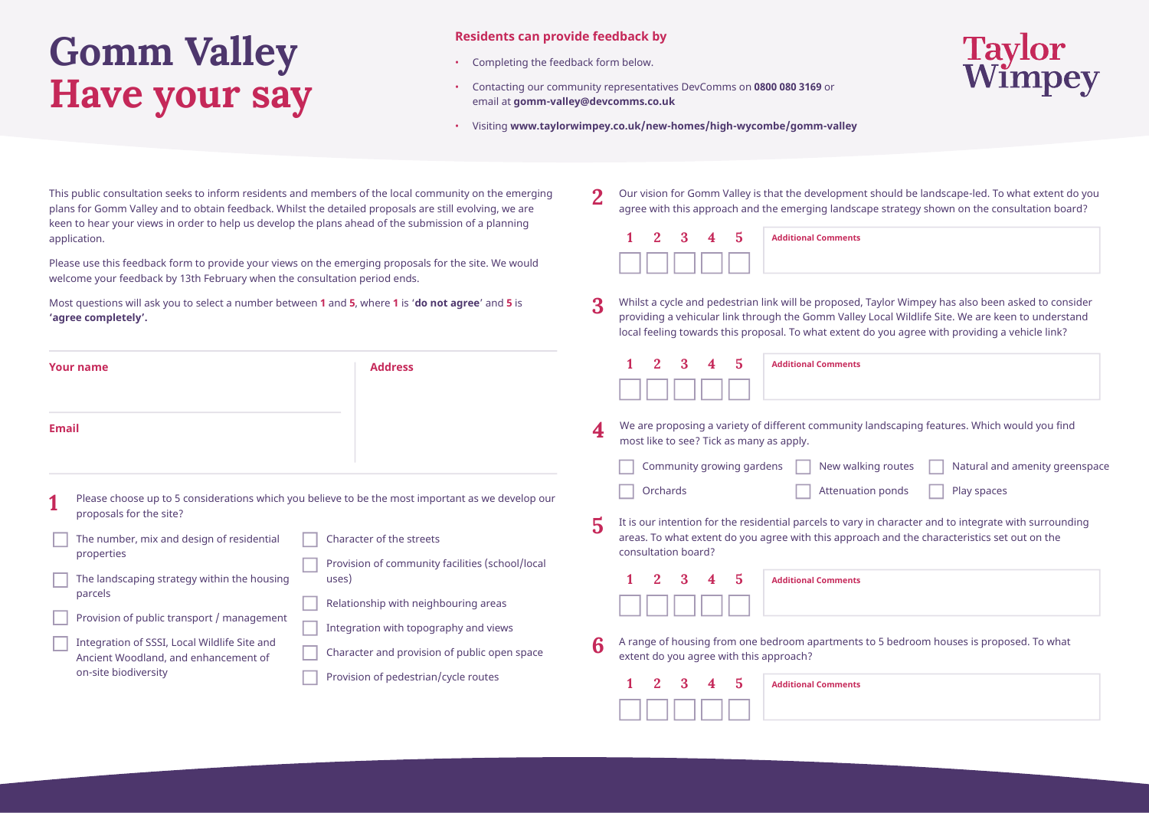## **Gomm Valley Have your say**

## **Residents can provide feedback by**

- Completing the feedback form below.
- Contacting our community representatives DevComms on **0800 080 3169** or email at **gomm-valley@devcomms.co.uk**



• Visiting **www.taylorwimpey.co.uk/new-homes/high-wycombe/gomm-valley**

This public consultation seeks to inform residents and members of the local community on the emerging plans for Gomm Valley and to obtain feedback. Whilst the detailed proposals are still evolving, we are keen to hear your views in order to help us develop the plans ahead of the submission of a planning application.

Please use this feedback form to provide your views on the emerging proposals for the site. We would welcome your feedback by 13th February when the consultation period ends.

Most questions will ask you to select a number between **1** and **5**, where **1** is '**do not agree**' and **5** is **'agree completely'.**

| Our vision for Gomm Valley is that the development should be landscape-led. To what extent do you |
|---------------------------------------------------------------------------------------------------|
| agree with this approach and the emerging landscape strategy shown on the consultation board?     |

|  |  | 1 2 3 4 5 Additional Comments |
|--|--|-------------------------------|
|  |  |                               |

Whilst a cycle and pedestrian link will be proposed, Taylor Wimpey has also been asked to consider providing a vehicular link through the Gomm Valley Local Wildlife Site. We are keen to understand local feeling towards this proposal. To what extent do you agree with providing a vehicle link? **3**

| <b>Address</b><br><b>Your name</b>                                                                                                                                                                                                                                                          | $\mathfrak{D}$<br>3<br>-5<br><b>Additional Comments</b><br>4                                                                                                                                                                               |
|---------------------------------------------------------------------------------------------------------------------------------------------------------------------------------------------------------------------------------------------------------------------------------------------|--------------------------------------------------------------------------------------------------------------------------------------------------------------------------------------------------------------------------------------------|
| <b>Email</b>                                                                                                                                                                                                                                                                                | We are proposing a variety of different community landscaping features. Which would you find<br>4<br>most like to see? Tick as many as apply.<br>Community growing gardens<br>New walking routes<br>Natural and amenity greenspace         |
| Please choose up to 5 considerations which you believe to be the most important as we develop our<br>proposals for the site?                                                                                                                                                                | Orchards<br>Play spaces<br>Attenuation ponds<br>It is our intention for the residential parcels to vary in character and to integrate with surrounding                                                                                     |
| The number, mix and design of residential<br>Character of the streets<br>properties<br>The landscaping strategy within the housing<br>uses)<br>parcels<br>Relationship with neighbouring areas                                                                                              | 5<br>areas. To what extent do you agree with this approach and the characteristics set out on the<br>consultation board?<br>Provision of community facilities (school/local<br>$\mathfrak{D}$<br>5<br>3<br><b>Additional Comments</b><br>4 |
| Provision of public transport / management<br>Integration with topography and views<br>Integration of SSSI, Local Wildlife Site and<br>Character and provision of public open space<br>Ancient Woodland, and enhancement of<br>on-site biodiversity<br>Provision of pedestrian/cycle routes | A range of housing from one bedroom apartments to 5 bedroom houses is proposed. To what<br>6<br>extent do you agree with this approach?<br>$\mathbf{2}^{\prime}$<br>3<br>5<br><b>Additional Comments</b><br>4                              |